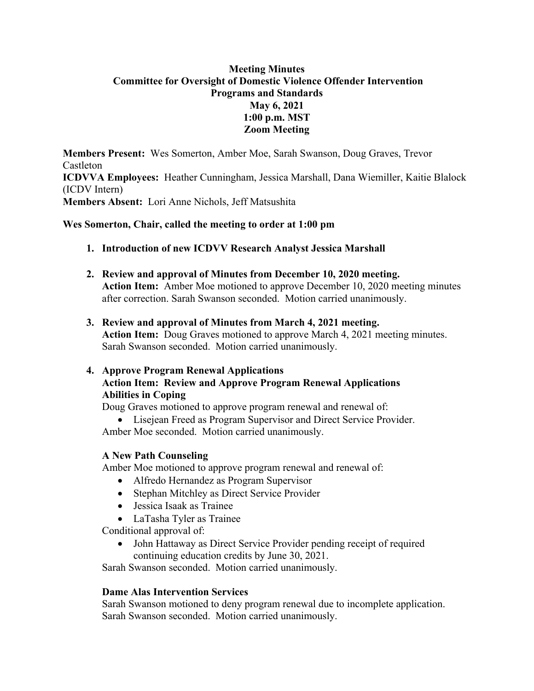# **Meeting Minutes Committee for Oversight of Domestic Violence Offender Intervention Programs and Standards May 6, 2021 1:00 p.m. MST Zoom Meeting**

**Members Present:** Wes Somerton, Amber Moe, Sarah Swanson, Doug Graves, Trevor Castleton **ICDVVA Employees:** Heather Cunningham, Jessica Marshall, Dana Wiemiller, Kaitie Blalock (ICDV Intern) **Members Absent:** Lori Anne Nichols, Jeff Matsushita

# **Wes Somerton, Chair, called the meeting to order at 1:00 pm**

- **1. Introduction of new ICDVV Research Analyst Jessica Marshall**
- **2. Review and approval of Minutes from December 10, 2020 meeting. Action Item:** Amber Moe motioned to approve December 10, 2020 meeting minutes after correction. Sarah Swanson seconded. Motion carried unanimously.
- **3. Review and approval of Minutes from March 4, 2021 meeting. Action Item:** Doug Graves motioned to approve March 4, 2021 meeting minutes. Sarah Swanson seconded. Motion carried unanimously.

## **4. Approve Program Renewal Applications Action Item: Review and Approve Program Renewal Applications Abilities in Coping**

Doug Graves motioned to approve program renewal and renewal of:

Lisejean Freed as Program Supervisor and Direct Service Provider.

Amber Moe seconded. Motion carried unanimously.

# **A New Path Counseling**

Amber Moe motioned to approve program renewal and renewal of:

- Alfredo Hernandez as Program Supervisor
- Stephan Mitchley as Direct Service Provider
- Jessica Isaak as Trainee
- LaTasha Tyler as Trainee

Conditional approval of:

 John Hattaway as Direct Service Provider pending receipt of required continuing education credits by June 30, 2021.

Sarah Swanson seconded. Motion carried unanimously.

# **Dame Alas Intervention Services**

Sarah Swanson motioned to deny program renewal due to incomplete application. Sarah Swanson seconded. Motion carried unanimously.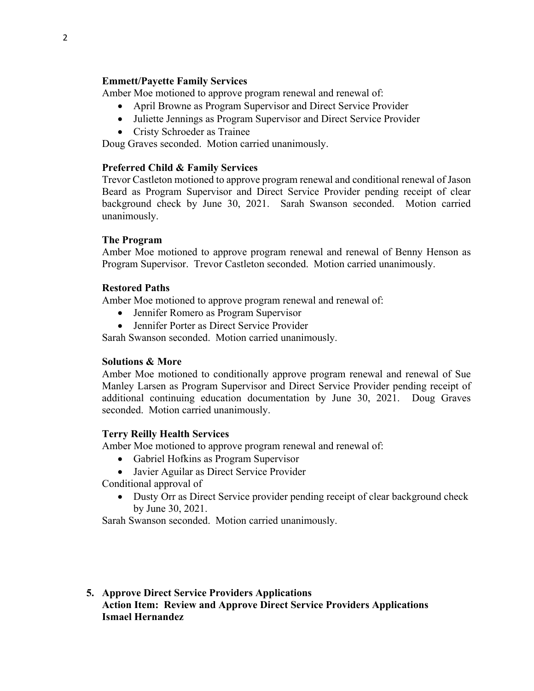### **Emmett/Payette Family Services**

Amber Moe motioned to approve program renewal and renewal of:

- April Browne as Program Supervisor and Direct Service Provider
- Juliette Jennings as Program Supervisor and Direct Service Provider
- Cristy Schroeder as Trainee

Doug Graves seconded. Motion carried unanimously.

# **Preferred Child & Family Services**

Trevor Castleton motioned to approve program renewal and conditional renewal of Jason Beard as Program Supervisor and Direct Service Provider pending receipt of clear background check by June 30, 2021. Sarah Swanson seconded. Motion carried unanimously.

## **The Program**

Amber Moe motioned to approve program renewal and renewal of Benny Henson as Program Supervisor. Trevor Castleton seconded. Motion carried unanimously.

## **Restored Paths**

Amber Moe motioned to approve program renewal and renewal of:

- Jennifer Romero as Program Supervisor
- Jennifer Porter as Direct Service Provider

Sarah Swanson seconded. Motion carried unanimously.

# **Solutions & More**

Amber Moe motioned to conditionally approve program renewal and renewal of Sue Manley Larsen as Program Supervisor and Direct Service Provider pending receipt of additional continuing education documentation by June 30, 2021. Doug Graves seconded. Motion carried unanimously.

# **Terry Reilly Health Services**

Amber Moe motioned to approve program renewal and renewal of:

- Gabriel Hofkins as Program Supervisor
- Javier Aguilar as Direct Service Provider

Conditional approval of

 Dusty Orr as Direct Service provider pending receipt of clear background check by June 30, 2021.

Sarah Swanson seconded. Motion carried unanimously.

## **5. Approve Direct Service Providers Applications Action Item: Review and Approve Direct Service Providers Applications Ismael Hernandez**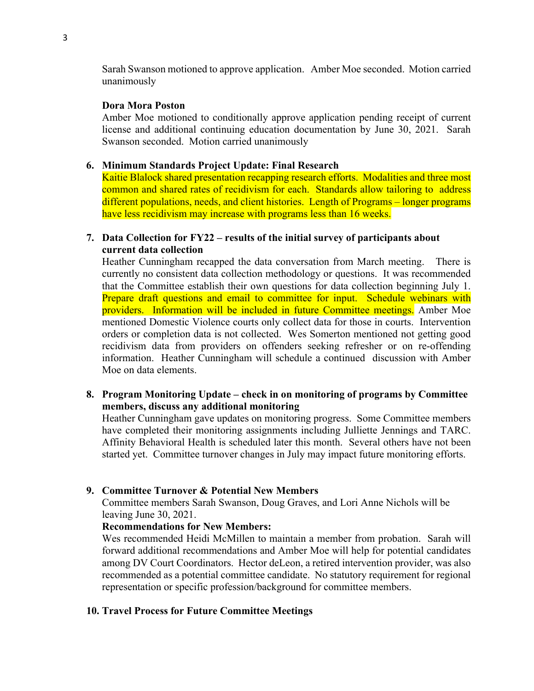Sarah Swanson motioned to approve application. Amber Moe seconded. Motion carried unanimously

#### **Dora Mora Poston**

Amber Moe motioned to conditionally approve application pending receipt of current license and additional continuing education documentation by June 30, 2021. Sarah Swanson seconded. Motion carried unanimously

#### **6. Minimum Standards Project Update: Final Research**

Kaitie Blalock shared presentation recapping research efforts. Modalities and three most common and shared rates of recidivism for each. Standards allow tailoring to address different populations, needs, and client histories. Length of Programs – longer programs have less recidivism may increase with programs less than 16 weeks.

#### **7. Data Collection for FY22 – results of the initial survey of participants about current data collection**

Heather Cunningham recapped the data conversation from March meeting. There is currently no consistent data collection methodology or questions. It was recommended that the Committee establish their own questions for data collection beginning July 1. Prepare draft questions and email to committee for input. Schedule webinars with providers. Information will be included in future Committee meetings. Amber Moe mentioned Domestic Violence courts only collect data for those in courts. Intervention orders or completion data is not collected. Wes Somerton mentioned not getting good recidivism data from providers on offenders seeking refresher or on re-offending information. Heather Cunningham will schedule a continued discussion with Amber Moe on data elements.

#### **8. Program Monitoring Update – check in on monitoring of programs by Committee members, discuss any additional monitoring**

Heather Cunningham gave updates on monitoring progress. Some Committee members have completed their monitoring assignments including Julliette Jennings and TARC. Affinity Behavioral Health is scheduled later this month. Several others have not been started yet. Committee turnover changes in July may impact future monitoring efforts.

#### **9. Committee Turnover & Potential New Members**

Committee members Sarah Swanson, Doug Graves, and Lori Anne Nichols will be leaving June 30, 2021.

#### **Recommendations for New Members:**

Wes recommended Heidi McMillen to maintain a member from probation. Sarah will forward additional recommendations and Amber Moe will help for potential candidates among DV Court Coordinators. Hector deLeon, a retired intervention provider, was also recommended as a potential committee candidate. No statutory requirement for regional representation or specific profession/background for committee members.

#### **10. Travel Process for Future Committee Meetings**